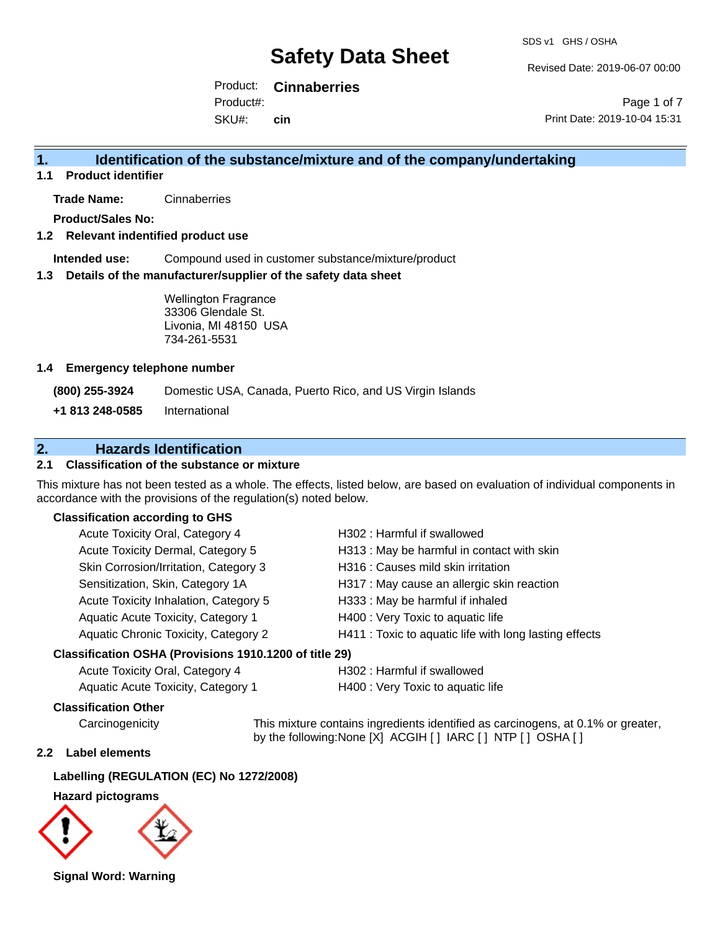Revised Date: 2019-06-07 00:00

Product: **Cinnaberries** Product#:

SKU#: **cin**

Page 1 of 7 Print Date: 2019-10-04 15:31

### **1. Identification of the substance/mixture and of the company/undertaking**

**1.1 Product identifier**

**Trade Name:** Cinnaberries

**Product/Sales No:**

#### **1.2 Relevant indentified product use**

**Intended use:** Compound used in customer substance/mixture/product

#### **1.3 Details of the manufacturer/supplier of the safety data sheet**

Wellington Fragrance 33306 Glendale St. Livonia, MI 48150 USA 734-261-5531

#### **1.4 Emergency telephone number**

**(800) 255-3924** Domestic USA, Canada, Puerto Rico, and US Virgin Islands

**+1 813 248-0585** International

### **2. Hazards Identification**

#### **2.1 Classification of the substance or mixture**

This mixture has not been tested as a whole. The effects, listed below, are based on evaluation of individual components in accordance with the provisions of the regulation(s) noted below.

#### **Classification according to GHS**

| Acute Toxicity Oral, Category 4       | H302: Harmful if swallowed                             |
|---------------------------------------|--------------------------------------------------------|
| Acute Toxicity Dermal, Category 5     | H313: May be harmful in contact with skin              |
| Skin Corrosion/Irritation, Category 3 | H316 : Causes mild skin irritation                     |
| Sensitization, Skin, Category 1A      | H317 : May cause an allergic skin reaction             |
| Acute Toxicity Inhalation, Category 5 | H333: May be harmful if inhaled                        |
| Aquatic Acute Toxicity, Category 1    | H400 : Very Toxic to aquatic life                      |
| Aquatic Chronic Toxicity, Category 2  | H411 : Toxic to aquatic life with long lasting effects |
| .                                     |                                                        |

#### **Classification OSHA (Provisions 1910.1200 of title 29)**

| Acute Toxicity Oral, Category 4    | H302 : Harmful if swallowed       |
|------------------------------------|-----------------------------------|
| Aquatic Acute Toxicity, Category 1 | H400 : Very Toxic to aquatic life |

#### **Classification Other**

Carcinogenicity This mixture contains ingredients identified as carcinogens, at 0.1% or greater, by the following:None [X] ACGIH [ ] IARC [ ] NTP [ ] OSHA [ ]

#### **2.2 Label elements**

#### **Labelling (REGULATION (EC) No 1272/2008)**

#### **Hazard pictograms**



**Signal Word: Warning**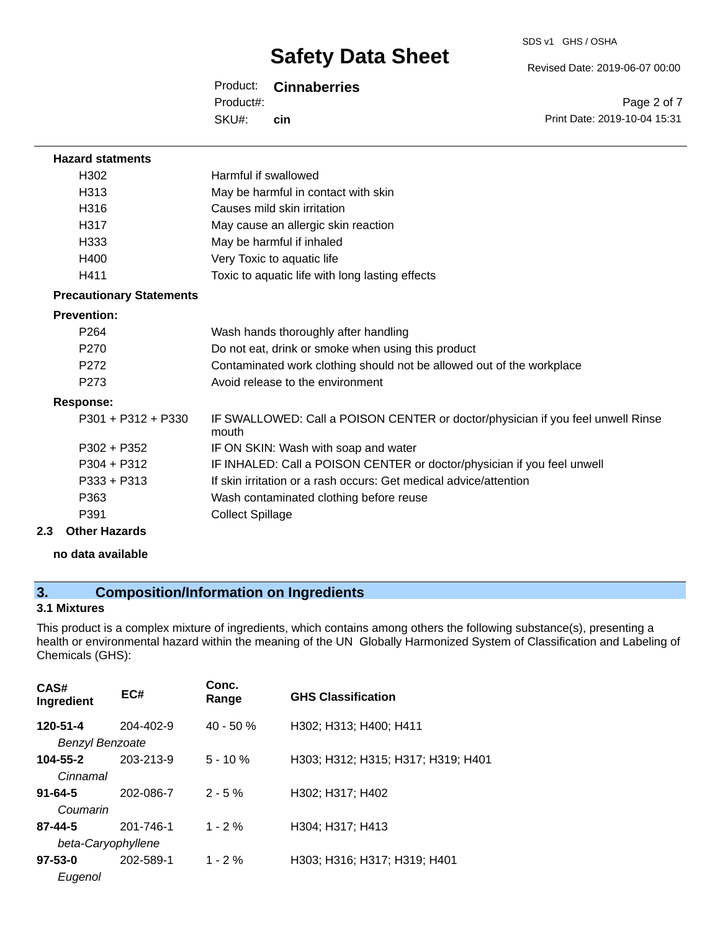Revised Date: 2019-06-07 00:00

### Product: **Cinnaberries**

SKU#: Product#: **cin**

Page 2 of 7 Print Date: 2019-10-04 15:31

| <b>Hazard statments</b>         |                                                                                          |
|---------------------------------|------------------------------------------------------------------------------------------|
| H302                            | Harmful if swallowed                                                                     |
| H313                            | May be harmful in contact with skin                                                      |
| H <sub>316</sub>                | Causes mild skin irritation                                                              |
| H317                            | May cause an allergic skin reaction                                                      |
| H333                            | May be harmful if inhaled                                                                |
| H400                            | Very Toxic to aquatic life                                                               |
| H411                            | Toxic to aquatic life with long lasting effects                                          |
| <b>Precautionary Statements</b> |                                                                                          |
| <b>Prevention:</b>              |                                                                                          |
| P <sub>264</sub>                | Wash hands thoroughly after handling                                                     |
| P <sub>270</sub>                | Do not eat, drink or smoke when using this product                                       |
| P272                            | Contaminated work clothing should not be allowed out of the workplace                    |
| P <sub>273</sub>                | Avoid release to the environment                                                         |
| <b>Response:</b>                |                                                                                          |
| $P301 + P312 + P330$            | IF SWALLOWED: Call a POISON CENTER or doctor/physician if you feel unwell Rinse<br>mouth |
| $P302 + P352$                   | IF ON SKIN: Wash with soap and water                                                     |
| $P304 + P312$                   | IF INHALED: Call a POISON CENTER or doctor/physician if you feel unwell                  |
| $P333 + P313$                   | If skin irritation or a rash occurs: Get medical advice/attention                        |
| P363                            | Wash contaminated clothing before reuse                                                  |
| P391                            | <b>Collect Spillage</b>                                                                  |
| 2.3<br><b>Other Hazards</b>     |                                                                                          |

**no data available**

# **3. Composition/Information on Ingredients**

#### **3.1 Mixtures**

This product is a complex mixture of ingredients, which contains among others the following substance(s), presenting a health or environmental hazard within the meaning of the UN Globally Harmonized System of Classification and Labeling of Chemicals (GHS):

| CAS#<br>Ingredient                  | EC#             | Conc.<br>Range | <b>GHS Classification</b>          |
|-------------------------------------|-----------------|----------------|------------------------------------|
| 120-51-4<br><b>Benzyl Benzoate</b>  | $204 - 402 - 9$ | $40 - 50%$     | H302; H313; H400; H411             |
| $104 - 55 - 2$<br>Cinnamal          | 203-213-9       | $5 - 10 \%$    | H303; H312; H315; H317; H319; H401 |
| $91 - 64 - 5$<br>Coumarin           | 202-086-7       | $2 - 5%$       | H302; H317; H402                   |
| $87 - 44 - 5$<br>beta-Caryophyllene | 201-746-1       | $1 - 2\%$      | H304: H317: H413                   |
| $97 - 53 - 0$<br>Eugenol            | 202-589-1       | $1 - 2%$       | H303; H316; H317; H319; H401       |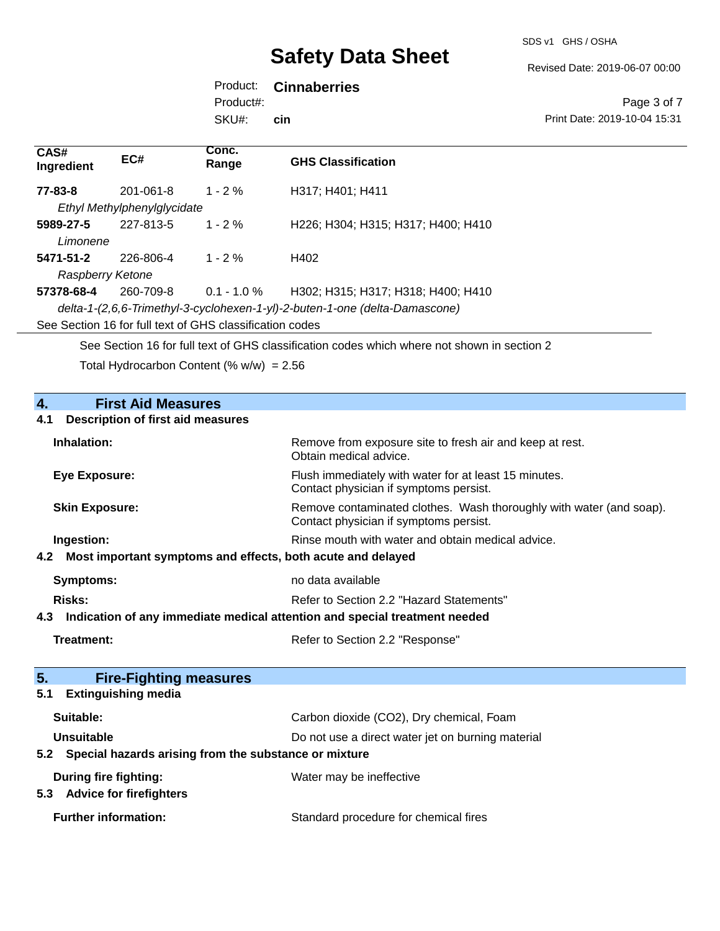Revised Date: 2019-06-07 00:00

### Product: **Cinnaberries**

Product#:

SKU#: **cin**

#### Page 3 of 7 Print Date: 2019-10-04 15:31

| CAS#<br>Ingredient | EC#                                                      | Conc.<br>Range | <b>GHS Classification</b>                                                   |
|--------------------|----------------------------------------------------------|----------------|-----------------------------------------------------------------------------|
| 77-83-8            | 201-061-8                                                | $1 - 2\%$      | H317; H401; H411                                                            |
|                    | Ethyl Methylphenylglycidate                              |                |                                                                             |
| 5989-27-5          | 227-813-5                                                | $1 - 2\%$      | H226; H304; H315; H317; H400; H410                                          |
| Limonene           |                                                          |                |                                                                             |
| 5471-51-2          | 226-806-4                                                | $1 - 2\%$      | H402                                                                        |
| Raspberry Ketone   |                                                          |                |                                                                             |
| 57378-68-4         | 260-709-8                                                | $0.1 - 1.0 \%$ | H302; H315; H317; H318; H400; H410                                          |
|                    |                                                          |                | delta-1-(2,6,6-Trimethyl-3-cyclohexen-1-yl)-2-buten-1-one (delta-Damascone) |
|                    | See Section 16 for full text of GHS classification codes |                |                                                                             |

See Section 16 for full text of GHS classification codes which where not shown in section 2

Total Hydrocarbon Content (%  $w/w$ ) = 2.56

# **4. First Aid Measures 4.1 Description of first aid measures Inhalation:** Remove from exposure site to fresh air and keep at rest. Obtain medical advice. **Eye Exposure:** Flush immediately with water for at least 15 minutes. Contact physician if symptoms persist. Skin Exposure: **Remove contaminated clothes.** Wash thoroughly with water (and soap). Contact physician if symptoms persist. **Ingestion: Rinse mouth with water and obtain medical advice. Rinse mouth with water and obtain medical advice. 4.2 Most important symptoms and effects, both acute and delayed Symptoms:** no data available **Risks:** Risks: Refer to Section 2.2 "Hazard Statements" **4.3 Indication of any immediate medical attention and special treatment needed** Treatment: Treatment: Treatment: Refer to Section 2.2 "Response" **5. Fire-Fighting measures 5.1 Extinguishing media Suitable:** Carbon dioxide (CO2), Dry chemical, Foam **Unsuitable** Do not use a direct water jet on burning material **5.2 Special hazards arising from the substance or mixture During fire fighting:** Water may be ineffective **5.3 Advice for firefighters Further information:** Standard procedure for chemical fires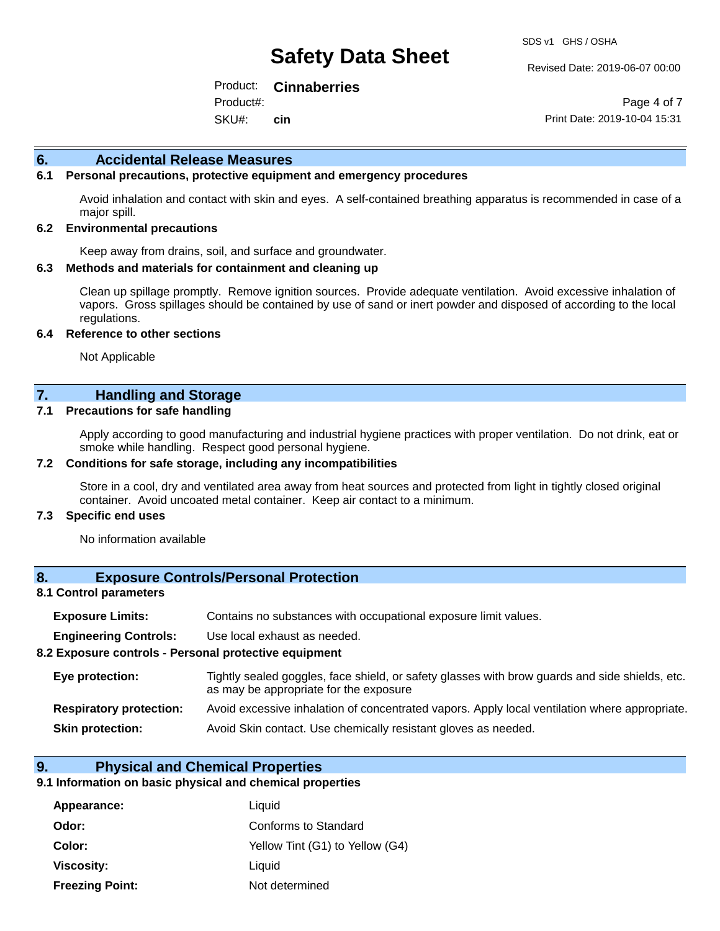Revised Date: 2019-06-07 00:00

Product: **Cinnaberries** SKU#: Product#: **cin**

Page 4 of 7 Print Date: 2019-10-04 15:31

#### **6. Accidental Release Measures**

#### **6.1 Personal precautions, protective equipment and emergency procedures**

Avoid inhalation and contact with skin and eyes. A self-contained breathing apparatus is recommended in case of a major spill.

#### **6.2 Environmental precautions**

Keep away from drains, soil, and surface and groundwater.

#### **6.3 Methods and materials for containment and cleaning up**

Clean up spillage promptly. Remove ignition sources. Provide adequate ventilation. Avoid excessive inhalation of vapors. Gross spillages should be contained by use of sand or inert powder and disposed of according to the local regulations.

#### **6.4 Reference to other sections**

Not Applicable

#### **7. Handling and Storage**

#### **7.1 Precautions for safe handling**

Apply according to good manufacturing and industrial hygiene practices with proper ventilation. Do not drink, eat or smoke while handling. Respect good personal hygiene.

#### **7.2 Conditions for safe storage, including any incompatibilities**

Store in a cool, dry and ventilated area away from heat sources and protected from light in tightly closed original container. Avoid uncoated metal container. Keep air contact to a minimum.

#### **7.3 Specific end uses**

No information available

#### **8. Exposure Controls/Personal Protection**

#### **8.1 Control parameters**

| <b>Exposure Limits:</b> |  | Contains no substances with occupational exposure limit values. |  |  |  |
|-------------------------|--|-----------------------------------------------------------------|--|--|--|
|-------------------------|--|-----------------------------------------------------------------|--|--|--|

**Engineering Controls:** Use local exhaust as needed.

#### **8.2 Exposure controls - Personal protective equipment**

| Eye protection:                | Tightly sealed goggles, face shield, or safety glasses with brow guards and side shields, etc.<br>as may be appropriate for the exposure |
|--------------------------------|------------------------------------------------------------------------------------------------------------------------------------------|
| <b>Respiratory protection:</b> | Avoid excessive inhalation of concentrated vapors. Apply local ventilation where appropriate.                                            |
| <b>Skin protection:</b>        | Avoid Skin contact. Use chemically resistant gloves as needed.                                                                           |

#### **9. Physical and Chemical Properties**

#### **9.1 Information on basic physical and chemical properties**

| Appearance:            | Liquid                          |
|------------------------|---------------------------------|
| Odor:                  | Conforms to Standard            |
| Color:                 | Yellow Tint (G1) to Yellow (G4) |
| Viscosity:             | Liquid                          |
| <b>Freezing Point:</b> | Not determined                  |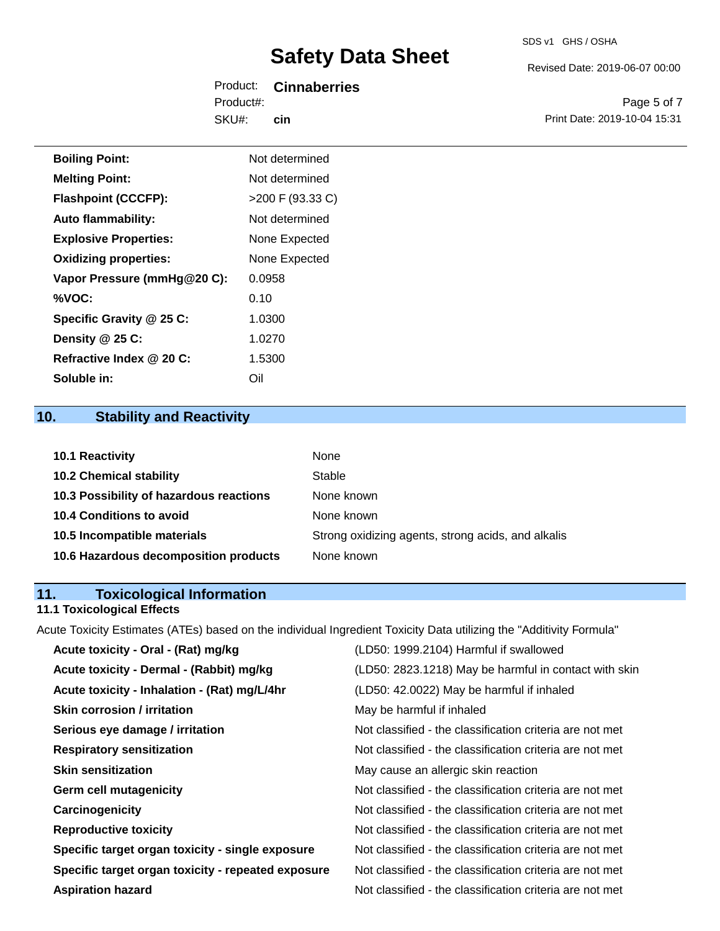Revised Date: 2019-06-07 00:00

|           | Product: Cinnaberries |
|-----------|-----------------------|
| Product#: |                       |
| SKU#:     | cin                   |

Page 5 of 7 Print Date: 2019-10-04 15:31

| <b>Boiling Point:</b>        | Not determined     |
|------------------------------|--------------------|
| <b>Melting Point:</b>        | Not determined     |
| <b>Flashpoint (CCCFP):</b>   | $>200$ F (93.33 C) |
| <b>Auto flammability:</b>    | Not determined     |
| <b>Explosive Properties:</b> | None Expected      |
| <b>Oxidizing properties:</b> | None Expected      |
| Vapor Pressure (mmHg@20 C):  | 0.0958             |
| %VOC:                        | 0.10               |
| Specific Gravity @ 25 C:     | 1.0300             |
| Density @ 25 C:              | 1.0270             |
| Refractive Index @ 20 C:     | 1.5300             |
| Soluble in:                  | Oil                |

# **10. Stability and Reactivity**

| <b>10.1 Reactivity</b>                  | None                                               |
|-----------------------------------------|----------------------------------------------------|
| <b>10.2 Chemical stability</b>          | Stable                                             |
| 10.3 Possibility of hazardous reactions | None known                                         |
| <b>10.4 Conditions to avoid</b>         | None known                                         |
| 10.5 Incompatible materials             | Strong oxidizing agents, strong acids, and alkalis |
| 10.6 Hazardous decomposition products   | None known                                         |

# **11. Toxicological Information**

### **11.1 Toxicological Effects**

Acute Toxicity Estimates (ATEs) based on the individual Ingredient Toxicity Data utilizing the "Additivity Formula"

| Acute toxicity - Oral - (Rat) mg/kg                | (LD50: 1999.2104) Harmful if swallowed                   |
|----------------------------------------------------|----------------------------------------------------------|
| Acute toxicity - Dermal - (Rabbit) mg/kg           | (LD50: 2823.1218) May be harmful in contact with skin    |
| Acute toxicity - Inhalation - (Rat) mg/L/4hr       | (LD50: 42.0022) May be harmful if inhaled                |
| <b>Skin corrosion / irritation</b>                 | May be harmful if inhaled                                |
| Serious eye damage / irritation                    | Not classified - the classification criteria are not met |
| <b>Respiratory sensitization</b>                   | Not classified - the classification criteria are not met |
| <b>Skin sensitization</b>                          | May cause an allergic skin reaction                      |
| <b>Germ cell mutagenicity</b>                      | Not classified - the classification criteria are not met |
| Carcinogenicity                                    | Not classified - the classification criteria are not met |
| <b>Reproductive toxicity</b>                       | Not classified - the classification criteria are not met |
| Specific target organ toxicity - single exposure   | Not classified - the classification criteria are not met |
| Specific target organ toxicity - repeated exposure | Not classified - the classification criteria are not met |
| <b>Aspiration hazard</b>                           | Not classified - the classification criteria are not met |
|                                                    |                                                          |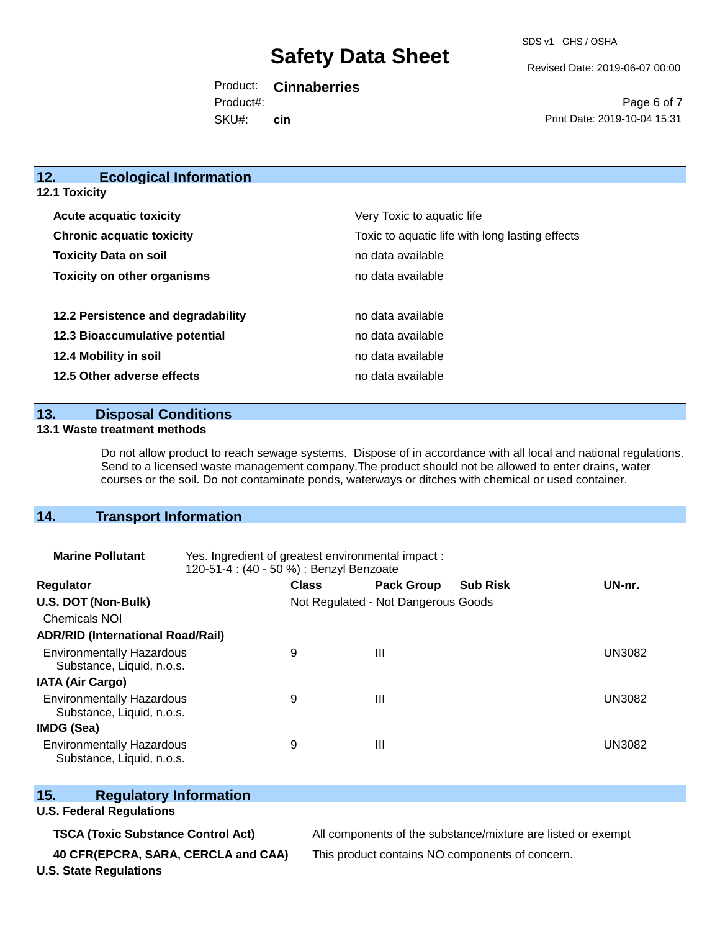Revised Date: 2019-06-07 00:00

Product: **Cinnaberries** SKU#: Product#: **cin**

Page 6 of 7 Print Date: 2019-10-04 15:31

## **12. Ecological Information**

**12.1 Toxicity**

| <b>Acute acquatic toxicity</b>     | Very Toxic to aquatic life                      |
|------------------------------------|-------------------------------------------------|
| <b>Chronic acquatic toxicity</b>   | Toxic to aquatic life with long lasting effects |
| <b>Toxicity Data on soil</b>       | no data available                               |
| <b>Toxicity on other organisms</b> | no data available                               |
|                                    |                                                 |
| 12.2 Persistence and degradability | no data available                               |
| 12.3 Bioaccumulative potential     | no data available                               |
| 12.4 Mobility in soil              | no data available                               |
| 12.5 Other adverse effects         | no data available                               |

**13. Disposal Conditions** 

#### **13.1 Waste treatment methods**

Do not allow product to reach sewage systems. Dispose of in accordance with all local and national regulations. Send to a licensed waste management company.The product should not be allowed to enter drains, water courses or the soil. Do not contaminate ponds, waterways or ditches with chemical or used container.

### **14. Transport Information**

| <b>Marine Pollutant</b>                                       | Yes. Ingredient of greatest environmental impact:<br>120-51-4 : (40 - 50 %) : Benzyl Benzoate |                                     |                   |                 |               |  |
|---------------------------------------------------------------|-----------------------------------------------------------------------------------------------|-------------------------------------|-------------------|-----------------|---------------|--|
| <b>Regulator</b>                                              |                                                                                               | <b>Class</b>                        | <b>Pack Group</b> | <b>Sub Risk</b> | UN-nr.        |  |
| U.S. DOT (Non-Bulk)                                           |                                                                                               | Not Regulated - Not Dangerous Goods |                   |                 |               |  |
| <b>Chemicals NOI</b>                                          |                                                                                               |                                     |                   |                 |               |  |
| <b>ADR/RID (International Road/Rail)</b>                      |                                                                                               |                                     |                   |                 |               |  |
| <b>Environmentally Hazardous</b><br>Substance, Liquid, n.o.s. |                                                                                               | 9                                   | $\mathbf{III}$    |                 | <b>UN3082</b> |  |
| <b>IATA (Air Cargo)</b>                                       |                                                                                               |                                     |                   |                 |               |  |
| <b>Environmentally Hazardous</b><br>Substance, Liquid, n.o.s. |                                                                                               | 9                                   | $\mathbf{III}$    |                 | <b>UN3082</b> |  |
| <b>IMDG (Sea)</b>                                             |                                                                                               |                                     |                   |                 |               |  |
| <b>Environmentally Hazardous</b><br>Substance, Liquid, n.o.s. |                                                                                               | 9                                   | $\mathbf{III}$    |                 | UN3082        |  |

### **15. Regulatory Information**

#### **U.S. Federal Regulations**

**TSCA (Toxic Substance Control Act)** All components of the substance/mixture are listed or exempt

**40 CFR(EPCRA, SARA, CERCLA and CAA)** This product contains NO components of concern.

**U.S. State Regulations**